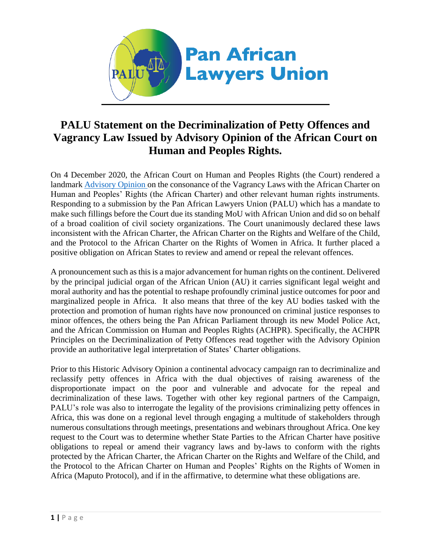

## **PALU Statement on the Decriminalization of Petty Offences and Vagrancy Law Issued by Advisory Opinion of the African Court on Human and Peoples Rights.**

On 4 December 2020, the African Court on Human and Peoples Rights (the Court) rendered a landmark [Advisory Opinion o](https://www.african-court.org/en/images/Cases/Advisory%20Opinion/Advisory%20Opinions/001-2018_-_PALU-Advisory_Opinion.pdf)n the consonance of the Vagrancy Laws with the African Charter on Human and Peoples' Rights (the African Charter) and other relevant human rights instruments. Responding to a submission by the Pan African Lawyers Union (PALU) which has a mandate to make such fillings before the Court due its standing MoU with African Union and did so on behalf of a broad coalition of civil society organizations. The Court unanimously declared these laws inconsistent with the African Charter, the African Charter on the Rights and Welfare of the Child, and the Protocol to the African Charter on the Rights of Women in Africa. It further placed a positive obligation on African States to review and amend or repeal the relevant offences.

A pronouncement such as this is a major advancement for human rights on the continent. Delivered by the principal judicial organ of the African Union (AU) it carries significant legal weight and moral authority and has the potential to reshape profoundly criminal justice outcomes for poor and marginalized people in Africa. It also means that three of the key AU bodies tasked with the protection and promotion of human rights have now pronounced on criminal justice responses to minor offences, the others being the Pan African Parliament through its new [Model Police Act,](http://apcof.org/wp-content/uploads/pap-model-police-law-for-africa.pdf) and the African Commission on Human and Peoples Rights (ACHPR). Specifically, the ACHPR [Principles on the Decriminalization of Petty Offences r](https://www.achpr.org/legalinstruments/detail?id=2)ead together with the Advisory Opinion provide an authoritative legal interpretation of States' Charter obligations.

Prior to this Historic Advisory Opinion a continental advocacy campaign ran to decriminalize and reclassify petty offences in Africa with the dual objectives of raising awareness of the disproportionate impact on the poor and vulnerable and advocate for the repeal and decriminalization of these laws. Together with other key regional partners of the Campaign, PALU's role was also to interrogate the legality of the provisions criminalizing petty offences in Africa, this was done on a regional level through engaging a multitude of stakeholders through numerous consultations through meetings, presentations and webinars throughout Africa. One key request to the Court was to determine whether State Parties to the African Charter have positive obligations to repeal or amend their vagrancy laws and by-laws to conform with the rights protected by the African Charter, the African Charter on the Rights and Welfare of the Child, and the Protocol to the African Charter on Human and Peoples' Rights on the Rights of Women in Africa (Maputo Protocol), and if in the affirmative, to determine what these obligations are.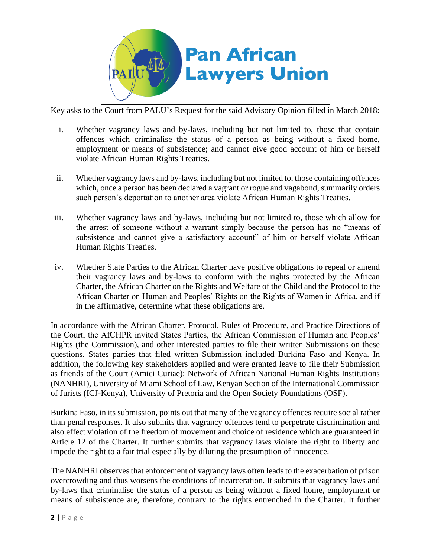

Key asks to the Court from PALU's Request for the said Advisory Opinion filled in March 2018:

- i. Whether vagrancy laws and by-laws, including but not limited to, those that contain offences which criminalise the status of a person as being without a fixed home, employment or means of subsistence; and cannot give good account of him or herself violate African Human Rights Treaties.
- ii. Whether vagrancy laws and by-laws, including but not limited to, those containing offences which, once a person has been declared a vagrant or rogue and vagabond, summarily orders such person's deportation to another area violate African Human Rights Treaties.
- iii. Whether vagrancy laws and by-laws, including but not limited to, those which allow for the arrest of someone without a warrant simply because the person has no "means of subsistence and cannot give a satisfactory account" of him or herself violate African Human Rights Treaties.
- iv. Whether State Parties to the African Charter have positive obligations to repeal or amend their vagrancy laws and by-laws to conform with the rights protected by the African Charter, the African Charter on the Rights and Welfare of the Child and the Protocol to the African Charter on Human and Peoples' Rights on the Rights of Women in Africa, and if in the affirmative, determine what these obligations are.

In accordance with the African Charter, Protocol, Rules of Procedure, and Practice Directions of the Court, the AfCHPR invited States Parties, the African Commission of Human and Peoples' Rights (the Commission), and other interested parties to file their written Submissions on these questions. States parties that filed written Submission included Burkina Faso and Kenya. In addition, the following key stakeholders applied and were granted leave to file their Submission as friends of the Court (Amici Curiae): Network of African National Human Rights Institutions (NANHRI), University of Miami School of Law, Kenyan Section of the International Commission of Jurists (ICJ-Kenya), University of Pretoria and the Open Society Foundations (OSF).

Burkina Faso, in its submission, points out that many of the vagrancy offences require social rather than penal responses. It also submits that vagrancy offences tend to perpetrate discrimination and also effect violation of the freedom of movement and choice of residence which are guaranteed in Article 12 of the Charter. It further submits that vagrancy laws violate the right to liberty and impede the right to a fair trial especially by diluting the presumption of innocence.

The NANHRI observes that enforcement of vagrancy laws often leads to the exacerbation of prison overcrowding and thus worsens the conditions of incarceration. It submits that vagrancy laws and by-laws that criminalise the status of a person as being without a fixed home, employment or means of subsistence are, therefore, contrary to the rights entrenched in the Charter. It further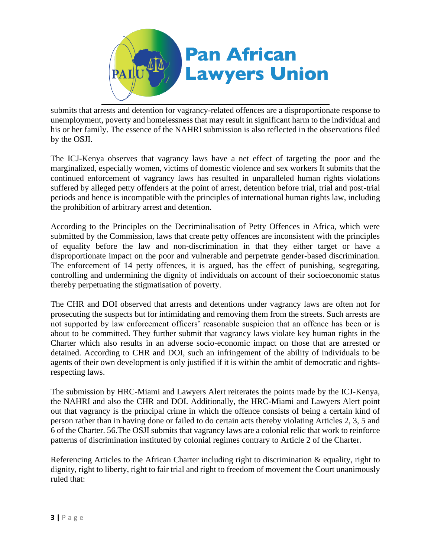

submits that arrests and detention for vagrancy-related offences are a disproportionate response to unemployment, poverty and homelessness that may result in significant harm to the individual and his or her family. The essence of the NAHRI submission is also reflected in the observations filed by the OSJI.

The ICJ-Kenya observes that vagrancy laws have a net effect of targeting the poor and the marginalized, especially women, victims of domestic violence and sex workers It submits that the continued enforcement of vagrancy laws has resulted in unparalleled human rights violations suffered by alleged petty offenders at the point of arrest, detention before trial, trial and post-trial periods and hence is incompatible with the principles of international human rights law, including the prohibition of arbitrary arrest and detention.

According to the Principles on the Decriminalisation of Petty Offences in Africa, which were submitted by the Commission, laws that create petty offences are inconsistent with the principles of equality before the law and non-discrimination in that they either target or have a disproportionate impact on the poor and vulnerable and perpetrate gender-based discrimination. The enforcement of 14 petty offences, it is argued, has the effect of punishing, segregating, controlling and undermining the dignity of individuals on account of their socioeconomic status thereby perpetuating the stigmatisation of poverty.

The CHR and DOI observed that arrests and detentions under vagrancy laws are often not for prosecuting the suspects but for intimidating and removing them from the streets. Such arrests are not supported by law enforcement officers' reasonable suspicion that an offence has been or is about to be committed. They further submit that vagrancy laws violate key human rights in the Charter which also results in an adverse socio-economic impact on those that are arrested or detained. According to CHR and DOI, such an infringement of the ability of individuals to be agents of their own development is only justified if it is within the ambit of democratic and rightsrespecting laws.

The submission by HRC-Miami and Lawyers Alert reiterates the points made by the ICJ-Kenya, the NAHRI and also the CHR and DOI. Additionally, the HRC-Miami and Lawyers Alert point out that vagrancy is the principal crime in which the offence consists of being a certain kind of person rather than in having done or failed to do certain acts thereby violating Articles 2, 3, 5 and 6 of the Charter. 56.The OSJI submits that vagrancy laws are a colonial relic that work to reinforce patterns of discrimination instituted by colonial regimes contrary to Article 2 of the Charter.

Referencing Articles to the African Charter including right to discrimination  $\&$  equality, right to dignity, right to liberty, right to fair trial and right to freedom of movement the Court unanimously ruled that: